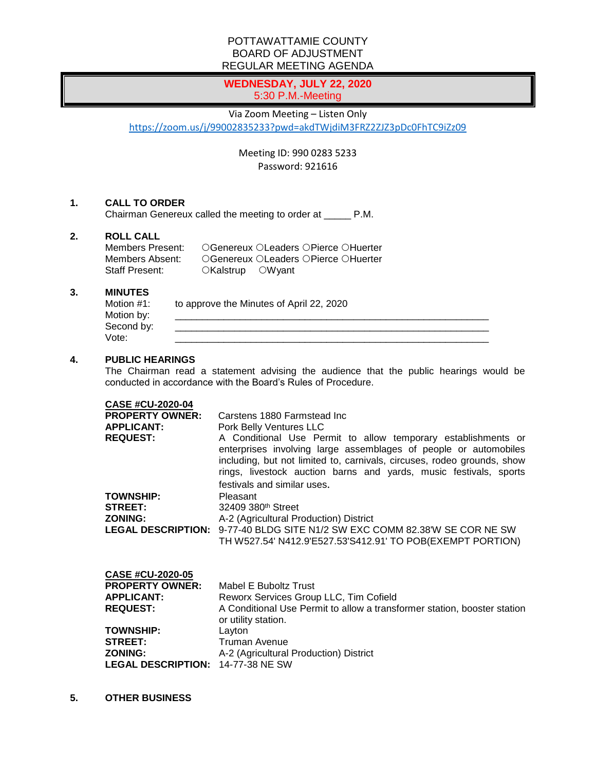## POTTAWATTAMIE COUNTY BOARD OF ADJUSTMENT REGULAR MEETING AGENDA

# **WEDNESDAY, JULY 22, 2020** 5:30 P.M.-Meeting

#### Via Zoom Meeting – Listen Only

<https://zoom.us/j/99002835233?pwd=akdTWjdiM3FRZ2ZJZ3pDc0FhTC9iZz09>

Meeting ID: 990 0283 5233 Password: 921616

#### **1. CALL TO ORDER**

Chairman Genereux called the meeting to order at \_\_\_\_\_ P.M.

## **2. ROLL CALL**

| Members Present: | ○Genereux ○Leaders ○Pierce ○Huerter |
|------------------|-------------------------------------|
| Members Absent:  | ○Genereux ○Leaders ○Pierce ○Huerter |
| Staff Present:   | $OKalstrup$ $OWvant$                |

#### **3. MINUTES**

| Motion #1: | to approve the Minutes of April 22, 2020 |
|------------|------------------------------------------|
| Motion by: |                                          |
| Second by: |                                          |
| Vote:      |                                          |

## **4. PUBLIC HEARINGS**

The Chairman read a statement advising the audience that the public hearings would be conducted in accordance with the Board's Rules of Procedure.

#### **CASE #CU-2020-04**

| , _ _ <i></i> . _ . _<br><b>PROPERTY OWNER:</b><br><b>APPLICANT:</b><br><b>REQUEST:</b> | Carstens 1880 Farmstead Inc.<br>Pork Belly Ventures LLC<br>A Conditional Use Permit to allow temporary establishments or<br>enterprises involving large assemblages of people or automobiles<br>including, but not limited to, carnivals, circuses, rodeo grounds, show<br>rings, livestock auction barns and yards, music festivals, sports |
|-----------------------------------------------------------------------------------------|----------------------------------------------------------------------------------------------------------------------------------------------------------------------------------------------------------------------------------------------------------------------------------------------------------------------------------------------|
| <b>TOWNSHIP:</b><br><b>STREET:</b><br><b>ZONING:</b>                                    | festivals and similar uses.<br>Pleasant<br>32409 380 <sup>th</sup> Street<br>A-2 (Agricultural Production) District<br>LEGAL DESCRIPTION: 9-77-40 BLDG SITE N1/2 SW EXC COMM 82.38'W SE COR NE SW<br>TH W527.54' N412.9'E527.53'S412.91' TO POB(EXEMPT PORTION)                                                                              |
| CASE #CU-2020-05                                                                        | Mabel E Buboltz Trust                                                                                                                                                                                                                                                                                                                        |
| <b>PROPERTY OWNER:</b>                                                                  | Reworx Services Group LLC, Tim Cofield                                                                                                                                                                                                                                                                                                       |
| <b>APPLICANT:</b>                                                                       | A Conditional Use Permit to allow a transformer station, booster station                                                                                                                                                                                                                                                                     |
| <b>REQUEST:</b>                                                                         | or utility station.                                                                                                                                                                                                                                                                                                                          |
| <b>TOWNSHIP:</b>                                                                        | Layton                                                                                                                                                                                                                                                                                                                                       |
| <b>STREET:</b>                                                                          | Truman Avenue                                                                                                                                                                                                                                                                                                                                |
| <b>ZONING:</b>                                                                          | A-2 (Agricultural Production) District                                                                                                                                                                                                                                                                                                       |

**5. OTHER BUSINESS**

**LEGAL DESCRIPTION:** 14-77-38 NE SW